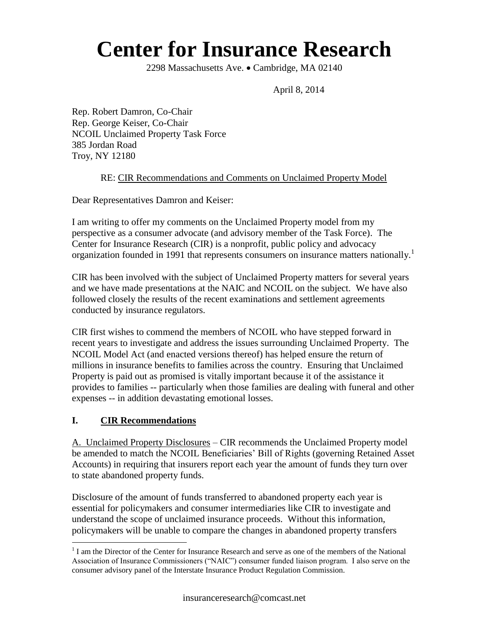# **Center for Insurance Research**

2298 Massachusetts Ave. • Cambridge, MA 02140

April 8, 2014

Rep. Robert Damron, Co-Chair Rep. George Keiser, Co-Chair NCOIL Unclaimed Property Task Force 385 Jordan Road Troy, NY 12180

#### RE: CIR Recommendations and Comments on Unclaimed Property Model

Dear Representatives Damron and Keiser:

I am writing to offer my comments on the Unclaimed Property model from my perspective as a consumer advocate (and advisory member of the Task Force). The Center for Insurance Research (CIR) is a nonprofit, public policy and advocacy organization founded in 1991 that represents consumers on insurance matters nationally.<sup>1</sup>

CIR has been involved with the subject of Unclaimed Property matters for several years and we have made presentations at the NAIC and NCOIL on the subject. We have also followed closely the results of the recent examinations and settlement agreements conducted by insurance regulators.

CIR first wishes to commend the members of NCOIL who have stepped forward in recent years to investigate and address the issues surrounding Unclaimed Property. The NCOIL Model Act (and enacted versions thereof) has helped ensure the return of millions in insurance benefits to families across the country. Ensuring that Unclaimed Property is paid out as promised is vitally important because it of the assistance it provides to families -- particularly when those families are dealing with funeral and other expenses -- in addition devastating emotional losses.

## **I. CIR Recommendations**

 $\overline{a}$ 

A. Unclaimed Property Disclosures – CIR recommends the Unclaimed Property model be amended to match the NCOIL Beneficiaries' Bill of Rights (governing Retained Asset Accounts) in requiring that insurers report each year the amount of funds they turn over to state abandoned property funds.

Disclosure of the amount of funds transferred to abandoned property each year is essential for policymakers and consumer intermediaries like CIR to investigate and understand the scope of unclaimed insurance proceeds. Without this information, policymakers will be unable to compare the changes in abandoned property transfers

<sup>&</sup>lt;sup>1</sup> I am the Director of the Center for Insurance Research and serve as one of the members of the National Association of Insurance Commissioners ("NAIC") consumer funded liaison program. I also serve on the consumer advisory panel of the Interstate Insurance Product Regulation Commission.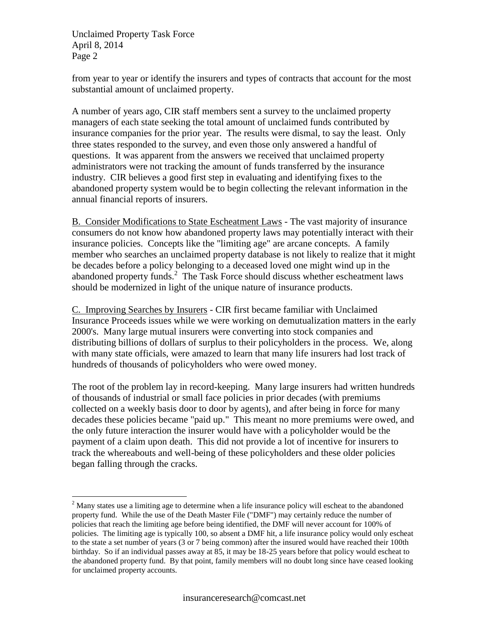Unclaimed Property Task Force April 8, 2014 Page 2

 $\overline{a}$ 

from year to year or identify the insurers and types of contracts that account for the most substantial amount of unclaimed property.

A number of years ago, CIR staff members sent a survey to the unclaimed property managers of each state seeking the total amount of unclaimed funds contributed by insurance companies for the prior year. The results were dismal, to say the least. Only three states responded to the survey, and even those only answered a handful of questions. It was apparent from the answers we received that unclaimed property administrators were not tracking the amount of funds transferred by the insurance industry. CIR believes a good first step in evaluating and identifying fixes to the abandoned property system would be to begin collecting the relevant information in the annual financial reports of insurers.

B. Consider Modifications to State Escheatment Laws - The vast majority of insurance consumers do not know how abandoned property laws may potentially interact with their insurance policies. Concepts like the "limiting age" are arcane concepts. A family member who searches an unclaimed property database is not likely to realize that it might be decades before a policy belonging to a deceased loved one might wind up in the abandoned property funds.<sup>2</sup> The Task Force should discuss whether escheatment laws should be modernized in light of the unique nature of insurance products.

C. Improving Searches by Insurers - CIR first became familiar with Unclaimed Insurance Proceeds issues while we were working on demutualization matters in the early 2000's. Many large mutual insurers were converting into stock companies and distributing billions of dollars of surplus to their policyholders in the process. We, along with many state officials, were amazed to learn that many life insurers had lost track of hundreds of thousands of policyholders who were owed money.

The root of the problem lay in record-keeping. Many large insurers had written hundreds of thousands of industrial or small face policies in prior decades (with premiums collected on a weekly basis door to door by agents), and after being in force for many decades these policies became "paid up." This meant no more premiums were owed, and the only future interaction the insurer would have with a policyholder would be the payment of a claim upon death. This did not provide a lot of incentive for insurers to track the whereabouts and well-being of these policyholders and these older policies began falling through the cracks.

<sup>&</sup>lt;sup>2</sup> Many states use a limiting age to determine when a life insurance policy will escheat to the abandoned property fund. While the use of the Death Master File ("DMF") may certainly reduce the number of policies that reach the limiting age before being identified, the DMF will never account for 100% of policies. The limiting age is typically 100, so absent a DMF hit, a life insurance policy would only escheat to the state a set number of years (3 or 7 being common) after the insured would have reached their 100th birthday. So if an individual passes away at 85, it may be 18-25 years before that policy would escheat to the abandoned property fund. By that point, family members will no doubt long since have ceased looking for unclaimed property accounts.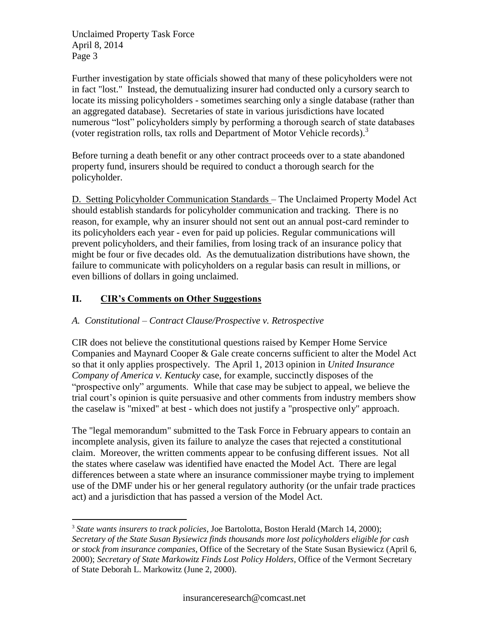Unclaimed Property Task Force April 8, 2014 Page 3

Further investigation by state officials showed that many of these policyholders were not in fact "lost." Instead, the demutualizing insurer had conducted only a cursory search to locate its missing policyholders - sometimes searching only a single database (rather than an aggregated database). Secretaries of state in various jurisdictions have located numerous "lost" policyholders simply by performing a thorough search of state databases (voter registration rolls, tax rolls and Department of Motor Vehicle records).<sup>3</sup>

Before turning a death benefit or any other contract proceeds over to a state abandoned property fund, insurers should be required to conduct a thorough search for the policyholder.

D. Setting Policyholder Communication Standards – The Unclaimed Property Model Act should establish standards for policyholder communication and tracking. There is no reason, for example, why an insurer should not sent out an annual post-card reminder to its policyholders each year - even for paid up policies. Regular communications will prevent policyholders, and their families, from losing track of an insurance policy that might be four or five decades old. As the demutualization distributions have shown, the failure to communicate with policyholders on a regular basis can result in millions, or even billions of dollars in going unclaimed.

# **II. CIR's Comments on Other Suggestions**

 $\overline{a}$ 

## *A. Constitutional – Contract Clause/Prospective v. Retrospective*

CIR does not believe the constitutional questions raised by Kemper Home Service Companies and Maynard Cooper & Gale create concerns sufficient to alter the Model Act so that it only applies prospectively. The April 1, 2013 opinion in *United Insurance Company of America v. Kentucky* case, for example, succinctly disposes of the "prospective only" arguments. While that case may be subject to appeal, we believe the trial court's opinion is quite persuasive and other comments from industry members show the caselaw is "mixed" at best - which does not justify a "prospective only" approach.

The "legal memorandum" submitted to the Task Force in February appears to contain an incomplete analysis, given its failure to analyze the cases that rejected a constitutional claim. Moreover, the written comments appear to be confusing different issues. Not all the states where caselaw was identified have enacted the Model Act. There are legal differences between a state where an insurance commissioner maybe trying to implement use of the DMF under his or her general regulatory authority (or the unfair trade practices act) and a jurisdiction that has passed a version of the Model Act.

<sup>3</sup> *State wants insurers to track policies*, Joe Bartolotta, Boston Herald (March 14, 2000); *Secretary of the State Susan Bysiewicz finds thousands more lost policyholders eligible for cash or stock from insurance companies*, Office of the Secretary of the State Susan Bysiewicz (April 6, 2000); *Secretary of State Markowitz Finds Lost Policy Holders*, Office of the Vermont Secretary of State Deborah L. Markowitz (June 2, 2000).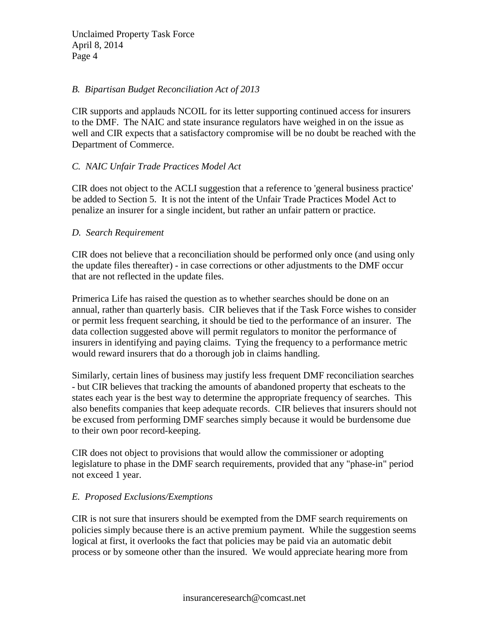#### *B. Bipartisan Budget Reconciliation Act of 2013*

CIR supports and applauds NCOIL for its letter supporting continued access for insurers to the DMF. The NAIC and state insurance regulators have weighed in on the issue as well and CIR expects that a satisfactory compromise will be no doubt be reached with the Department of Commerce.

#### *C. NAIC Unfair Trade Practices Model Act*

CIR does not object to the ACLI suggestion that a reference to 'general business practice' be added to Section 5. It is not the intent of the Unfair Trade Practices Model Act to penalize an insurer for a single incident, but rather an unfair pattern or practice.

#### *D. Search Requirement*

CIR does not believe that a reconciliation should be performed only once (and using only the update files thereafter) - in case corrections or other adjustments to the DMF occur that are not reflected in the update files.

Primerica Life has raised the question as to whether searches should be done on an annual, rather than quarterly basis. CIR believes that if the Task Force wishes to consider or permit less frequent searching, it should be tied to the performance of an insurer. The data collection suggested above will permit regulators to monitor the performance of insurers in identifying and paying claims. Tying the frequency to a performance metric would reward insurers that do a thorough job in claims handling.

Similarly, certain lines of business may justify less frequent DMF reconciliation searches - but CIR believes that tracking the amounts of abandoned property that escheats to the states each year is the best way to determine the appropriate frequency of searches. This also benefits companies that keep adequate records. CIR believes that insurers should not be excused from performing DMF searches simply because it would be burdensome due to their own poor record-keeping.

CIR does not object to provisions that would allow the commissioner or adopting legislature to phase in the DMF search requirements, provided that any "phase-in" period not exceed 1 year.

## *E. Proposed Exclusions/Exemptions*

CIR is not sure that insurers should be exempted from the DMF search requirements on policies simply because there is an active premium payment. While the suggestion seems logical at first, it overlooks the fact that policies may be paid via an automatic debit process or by someone other than the insured. We would appreciate hearing more from